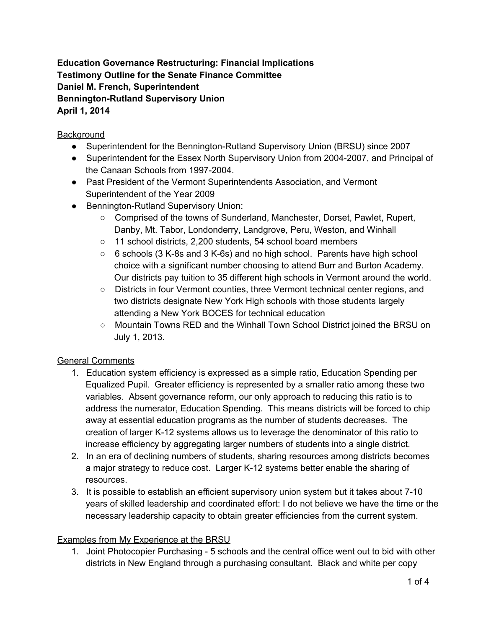**Education Governance Restructuring: Financial Implications Testimony Outline for the Senate Finance Committee Daniel M. French, Superintendent Bennington-Rutland Supervisory Union April 1, 2014**

## **Background**

- Superintendent for the Bennington-Rutland Supervisory Union (BRSU) since 2007
- Superintendent for the Essex North Supervisory Union from 2004-2007, and Principal of the Canaan Schools from 1997-2004.
- Past President of the Vermont Superintendents Association, and Vermont Superintendent of the Year 2009
- Bennington-Rutland Supervisory Union:
	- Comprised of the towns of Sunderland, Manchester, Dorset, Pawlet, Rupert, Danby, Mt. Tabor, Londonderry, Landgrove, Peru, Weston, and Winhall
	- 11 school districts, 2,200 students, 54 school board members
	- $\circ$  6 schools (3 K-8s and 3 K-6s) and no high school. Parents have high school choice with a significant number choosing to attend Burr and Burton Academy. Our districts pay tuition to 35 different high schools in Vermont around the world.
	- Districts in four Vermont counties, three Vermont technical center regions, and two districts designate New York High schools with those students largely attending a New York BOCES for technical education
	- Mountain Towns RED and the Winhall Town School District joined the BRSU on July 1, 2013.

## General Comments

- 1. Education system efficiency is expressed as a simple ratio, Education Spending per Equalized Pupil. Greater efficiency is represented by a smaller ratio among these two variables. Absent governance reform, our only approach to reducing this ratio is to address the numerator, Education Spending. This means districts will be forced to chip away at essential education programs as the number of students decreases. The creation of larger K-12 systems allows us to leverage the denominator of this ratio to increase efficiency by aggregating larger numbers of students into a single district.
- 2. In an era of declining numbers of students, sharing resources among districts becomes a major strategy to reduce cost. Larger K-12 systems better enable the sharing of resources.
- 3. It is possible to establish an efficient supervisory union system but it takes about 710 years of skilled leadership and coordinated effort: I do not believe we have the time or the necessary leadership capacity to obtain greater efficiencies from the current system.

## Examples from My Experience at the BRSU

1. Joint Photocopier Purchasing 5 schools and the central office went out to bid with other districts in New England through a purchasing consultant. Black and white per copy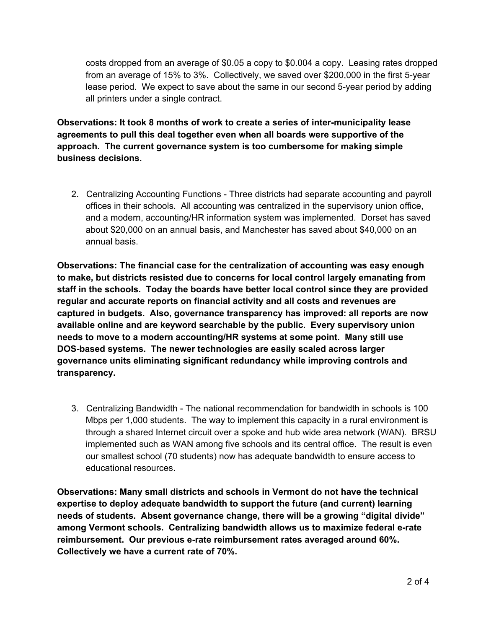costs dropped from an average of \$0.05 a copy to \$0.004 a copy. Leasing rates dropped from an average of 15% to 3%. Collectively, we saved over \$200,000 in the first 5-year lease period. We expect to save about the same in our second 5-year period by adding all printers under a single contract.

**Observations: It took 8 months of work to create a series of intermunicipality lease agreements to pull this deal together even when all boards were supportive of the approach. The current governance system is too cumbersome for making simple business decisions.**

2. Centralizing Accounting Functions - Three districts had separate accounting and payroll offices in their schools. All accounting was centralized in the supervisory union office, and a modern, accounting/HR information system was implemented. Dorset has saved about \$20,000 on an annual basis, and Manchester has saved about \$40,000 on an annual basis.

**Observations: The financial case for the centralization of accounting was easy enough to make, but districts resisted due to concerns for local control largely emanating from staff in the schools. Today the boards have better local control since they are provided regular and accurate reports on financial activity and all costs and revenues are captured in budgets. Also, governance transparency has improved: all reports are now available online and are keyword searchable by the public. Every supervisory union needs to move to a modern accounting/HR systems at some point. Many still use DOSbased systems. The newer technologies are easily scaled across larger governance units eliminating significant redundancy while improving controls and transparency.**

3. Centralizing Bandwidth The national recommendation for bandwidth in schools is 100 Mbps per 1,000 students. The way to implement this capacity in a rural environment is through a shared Internet circuit over a spoke and hub wide area network (WAN). BRSU implemented such as WAN among five schools and its central office. The result is even our smallest school (70 students) now has adequate bandwidth to ensure access to educational resources.

**Observations: Many small districts and schools in Vermont do not have the technical expertise to deploy adequate bandwidth to support the future (and current) learning needs of students. Absent governance change, there will be a growing "digital divide" among Vermont schools. Centralizing bandwidth allows us to maximize federal erate reimbursement. Our previous erate reimbursement rates averaged around 60%. Collectively we have a current rate of 70%.**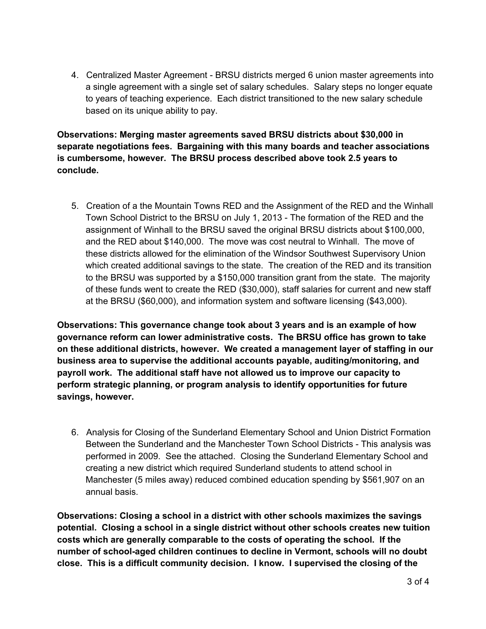4. Centralized Master Agreement - BRSU districts merged 6 union master agreements into a single agreement with a single set of salary schedules. Salary steps no longer equate to years of teaching experience. Each district transitioned to the new salary schedule based on its unique ability to pay.

**Observations: Merging master agreements saved BRSU districts about \$30,000 in separate negotiations fees. Bargaining with this many boards and teacher associations is cumbersome, however. The BRSU process described above took 2.5 years to conclude.**

5. Creation of a the Mountain Towns RED and the Assignment of the RED and the Winhall Town School District to the BRSU on July 1, 2013 The formation of the RED and the assignment of Winhall to the BRSU saved the original BRSU districts about \$100,000, and the RED about \$140,000. The move was cost neutral to Winhall. The move of these districts allowed for the elimination of the Windsor Southwest Supervisory Union which created additional savings to the state. The creation of the RED and its transition to the BRSU was supported by a \$150,000 transition grant from the state. The majority of these funds went to create the RED (\$30,000), staff salaries for current and new staff at the BRSU (\$60,000), and information system and software licensing (\$43,000).

**Observations: This governance change took about 3 years and is an example of how governance reform can lower administrative costs. The BRSU office has grown to take on these additional districts, however. We created a management layer of staffing in our business area to supervise the additional accounts payable, auditing/monitoring, and payroll work. The additional staff have not allowed us to improve our capacity to perform strategic planning, or program analysis to identify opportunities for future savings, however.**

6. Analysis for Closing of the Sunderland Elementary School and Union District Formation Between the Sunderland and the Manchester Town School Districts - This analysis was performed in 2009. See the attached. Closing the Sunderland Elementary School and creating a new district which required Sunderland students to attend school in Manchester (5 miles away) reduced combined education spending by \$561,907 on an annual basis.

**Observations: Closing a school in a district with other schools maximizes the savings potential. Closing a school in a single district without other schools creates new tuition costs which are generally comparable to the costs of operating the school. If the number of schoolaged children continues to decline in Vermont, schools will no doubt close. This is a difficult community decision. I know. I supervised the closing of the**